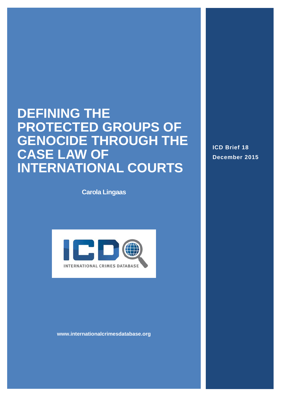# **DEFINING THE PROTECTED GROUPS OF GENOCIDE THROUGH THE CASE LAW OF INTERNATIONAL COURTS**

**Carola Lingaas**



**www.internationalcrimesdatabase.org**

**ICD Brief 18 December 2015**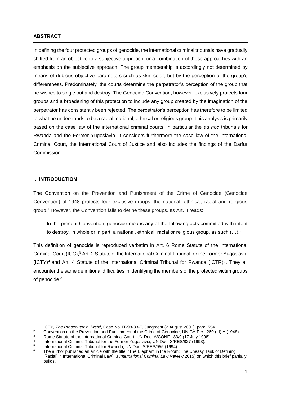#### **ABSTRACT**

In defining the four protected groups of genocide, the international criminal tribunals have gradually shifted from an objective to a subjective approach, or a combination of these approaches with an emphasis on the subjective approach. The group membership is accordingly not determined by means of dubious objective parameters such as skin color, but by the perception of the group's differentness. Predominately, the courts determine the perpetrator's perception of the group that he wishes to single out and destroy. The Genocide Convention, however, exclusively protects four groups and a broadening of this protection to include any group created by the imagination of the perpetrator has consistently been rejected. The perpetrator's perception has therefore to be limited to what he understands to be a racial, national, ethnical or religious group. This analysis is primarily based on the case law of the international criminal courts, in particular the *ad hoc* tribunals for Rwanda and the Former Yugoslavia. It considers furthermore the case law of the International Criminal Court, the International Court of Justice and also includes the findings of the Darfur Commission.

#### **I. INTRODUCTION**

1

The Convention on the Prevention and Punishment of the Crime of Genocide (Genocide Convention) of 1948 protects four exclusive groups: the national, ethnical, racial and religious group.<sup>1</sup> However, the Convention fails to define these groups. Its Art. II reads:

In the present Convention, genocide means any of the following acts committed with intent to destroy, in whole or in part, a national, ethnical, racial or religious group, as such  $(...).^2$ 

This definition of genocide is reproduced verbatim in Art. 6 Rome Statute of the International Criminal Court (ICC), <sup>3</sup> Art. 2 Statute of the International Criminal Tribunal for the Former Yugoslavia  $(ICTY)<sup>4</sup>$  and Art. 4 Statute of the International Criminal Tribunal for Rwanda  $(ICTR)<sup>5</sup>$ . They all encounter the same definitional difficulties in identifying the members of the protected victim groups of genocide. 6

<sup>1</sup> ICTY, *The Prosecutor v. Krstić*, Case No. IT-98-33-T, Judgment (2 August 2001), para. 554.

<sup>&</sup>lt;sup>2</sup> Convention on the Prevention and Punishment of the Crime of Genocide, UN GA Res. 260 (III) A (1948).

Rome Statute of the International Criminal Court, UN Doc. A/CONF.183/9 (17 July 1998).

<sup>4</sup> International Criminal Tribunal for the Former Yugoslavia, UN Doc. S/RES/827 (1993).

<sup>5</sup> International Criminal Tribunal for Rwanda, UN Doc. S/RES/955 (1994).

The author published an article with the title: "The Elephant in the Room: The Uneasy Task of Defining 'Racial' in International Criminal Law", 3 *International Criminal Law Review* 2015) on which this brief partially builds.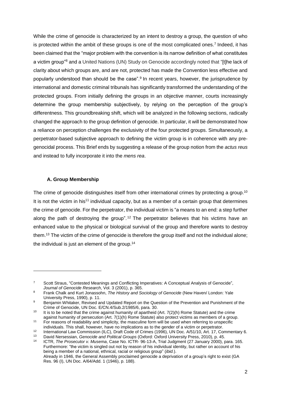While the crime of genocide is characterized by an intent to destroy a group, the question of who is protected within the ambit of these groups is one of the most complicated ones.<sup>7</sup> Indeed, it has been claimed that the "major problem with the convention is its narrow definition of what constitutes a victim group"<sup>8</sup> and a United Nations (UN) Study on Genocide accordingly noted that "[t]he lack of clarity about which groups are, and are not, protected has made the Convention less effective and popularly understood than should be the case".<sup>9</sup> In recent years, however, the jurisprudence by international and domestic criminal tribunals has significantly transformed the understanding of the protected groups. From initially defining the groups in an objective manner, courts increasingly determine the group membership subjectively, by relying on the perception of the group's differentness. This groundbreaking shift, which will be analyzed in the following sections, radically changed the approach to the group definition of genocide. In particular, it will be demonstrated how a reliance on perception challenges the exclusivity of the four protected groups. Simultaneously, a perpetrator-based subjective approach to defining the victim group is in coherence with any pregenocidal process. This Brief ends by suggesting a release of the group notion from the *actus reus* and instead to fully incorporate it into the *mens rea*.

#### **A. Group Membership**

1

The crime of genocide distinguishes itself from other international crimes by protecting a group.<sup>10</sup> It is not the victim in his<sup>11</sup> individual capacity, but as a member of a certain group that determines the crime of genocide. For the perpetrator, the individual victim is "a means to an end: a step further along the path of destroying the group".<sup>12</sup> The perpetrator believes that his victims have an enhanced value to the physical or biological survival of the group and therefore wants to destroy them.<sup>13</sup> The victim of the crime of genocide is therefore the group itself and not the individual alone; the individual is just an element of the group.<sup>14</sup>

<sup>7</sup> Scott Straus, "Contested Meanings and Conflicting Imperatives: A Conceptual Analysis of Genocide", *Journal of Genocide Research*, Vol. 3 (2001), p. 365.

<sup>8</sup> Frank Chalk and Kurt Jonassohn, *The History and Sociology of Genocide* (New Haven/ London: Yale University Press, 1990), p. 11.

<sup>9</sup> Benjamin Whitaker, Revised and Updated Report on the Question of the Prevention and Punishment of the Crime of Genocide, UN Doc. E/CN.4/Sub.2/1985/6, para. 30.

<sup>10</sup> It is to be noted that the crime against humanity of apartheid (Art. 7(2)(h) Rome Statute) and the crime against humanity of persecution (Art. 7(1)(h) Rome Statute) also protect victims as members of a group.

<sup>&</sup>lt;sup>11</sup> For reasons of readability and simplicity, the masculine form will be used when referring to unspecific individuals. This shall, however, have no implications as to the gender of a victim or perpetrator.

<sup>12</sup> International Law Commission (ILC), Draft Code of Crimes (1996), UN Doc. A/51/10, Art. 17, Commentary 6.<br>13 Dovid Narsonian, Canacide and Political Crowne (Oxford: Oxford University Press, 2010), p. 45

<sup>13</sup> David Nersessian, *Genocide and Political Groups* (Oxford: Oxford University Press, 2010), p. 45.

<sup>14</sup> ICTR, *The Prosecutor v. Musema*, Case No. ICTR- 96-13-A, Trial Judgment (27 January 2000), para. 165. Furthermore: "the victim is singled out not by reason of his individual identity, but rather on account of his being a member of a national, ethnical, racial or religious group" (*ibid.*). Already in 1946, the General Assembly proclaimed genocide a deprivation of a group's right to exist (GA Res. 96 (I), UN Doc. A/64/Add. 1 (1946), p. 188).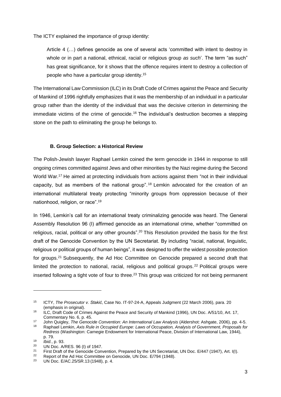The ICTY explained the importance of group identity:

Article 4 (…) defines genocide as one of several acts 'committed with intent to destroy in whole or in part a national, ethnical, racial or religious group *as such*'. The term "as such" has great significance, for it shows that the offence requires intent to destroy a collection of people who have a particular group identity.<sup>15</sup>

The International Law Commission (ILC) in its Draft Code of Crimes against the Peace and Security of Mankind of 1996 rightfully emphasizes that it was the membership of an individual in a particular group rather than the identity of the individual that was the decisive criterion in determining the immediate victims of the crime of genocide.<sup>16</sup> The individual's destruction becomes a stepping stone on the path to eliminating the group he belongs to.

## **B. Group Selection: a Historical Review**

The Polish-Jewish lawyer Raphael Lemkin coined the term genocide in 1944 in response to still ongoing crimes committed against Jews and other minorities by the Nazi regime during the Second World War.<sup>17</sup> He aimed at protecting individuals from actions against them "not in their individual capacity, but as members of the national group".<sup>18</sup> Lemkin advocated for the creation of an international multilateral treaty protecting "minority groups from oppression because of their nationhood, religion, or race".<sup>19</sup>

In 1946, Lemkin's call for an international treaty criminalizing genocide was heard. The General Assembly Resolution 96 (I) affirmed genocide as an international crime, whether "committed on religious, racial, political or any other grounds".<sup>20</sup> This Resolution provided the basis for the first draft of the Genocide Convention by the UN Secretariat. By including "racial, national, linguistic, religious or political groups of human beings", it was designed to offer the widest possible protection for groups.<sup>21</sup> Subsequently, the Ad Hoc Committee on Genocide prepared a second draft that limited the protection to national, racial, religious and political groups.<sup>22</sup> Political groups were inserted following a tight vote of four to three.<sup>23</sup> This group was criticized for not being permanent

-

<sup>15</sup> ICTY, *The Prosecutor v. Stakić*, Case No. IT-97-24-A, Appeals Judgment (22 March 2006), para. 20 (emphasis in original).

<sup>16</sup> ILC, Draft Code of Crimes Against the Peace and Security of Mankind (1996), UN Doc. A/51/10, Art. 17, Commentary No. 6, p. 45.

<sup>17</sup> John Quigley, *The Genocide Convention: An International Law Analysis* (Aldershot: Ashgate, 2006), pp. 4-5.

<sup>18</sup> Raphael Lemkin, *Axis Rule in Occupied Europe: Laws of Occupation, Analysis of Government, Proposals for Redress* (Washington: Carnegie Endowment for International Peace, Division of International Law, 1944), p. 79.

<sup>19</sup> *Ibid.*, p. 93.

<sup>&</sup>lt;sup>20</sup> UN Doc. A/RES. 96 (I) of 1947.

<sup>&</sup>lt;sup>21</sup> First Draft of the Genocide Convention, Prepared by the UN Secretariat, UN Doc. E/447 (1947), Art. I(I).

 $\frac{22}{23}$  Report of the Ad Hoc Committee on Genocide, UN Doc. E/794 (1948).

<sup>23</sup> UN Doc. E/AC.25/SR.13 (1948), p. 4.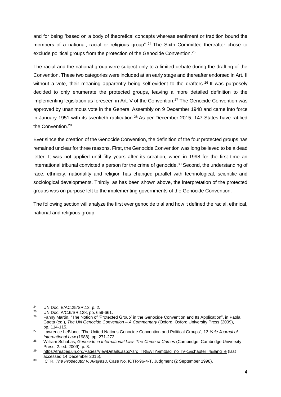and for being "based on a body of theoretical concepts whereas sentiment or tradition bound the members of a national, racial or religious group".<sup>24</sup> The Sixth Committee thereafter chose to exclude political groups from the protection of the Genocide Convention.<sup>25</sup>

The racial and the national group were subject only to a limited debate during the drafting of the Convention. These two categories were included at an early stage and thereafter endorsed in Art. II without a vote, their meaning apparently being self-evident to the drafters.<sup>26</sup> It was purposely decided to only enumerate the protected groups, leaving a more detailed definition to the implementing legislation as foreseen in Art. V of the Convention.<sup>27</sup> The Genocide Convention was approved by unanimous vote in the General Assembly on 9 December 1948 and came into force in January 1951 with its twentieth ratification.<sup>28</sup> As per December 2015, 147 States have ratified the Convention. 29

Ever since the creation of the Genocide Convention, the definition of the four protected groups has remained unclear for three reasons. First, the Genocide Convention was long believed to be a dead letter. It was not applied until fifty years after its creation, when in 1998 for the first time an international tribunal convicted a person for the crime of genocide.<sup>30</sup> Second, the understanding of race, ethnicity, nationality and religion has changed parallel with technological, scientific and sociological developments. Thirdly, as has been shown above, the interpretation of the protected groups was on purpose left to the implementing governments of the Genocide Convention.

The following section will analyze the first ever genocide trial and how it defined the racial, ethnical, national and religious group.

<sup>&</sup>lt;sup>24</sup> UN Doc. E/AC.25/SR.13, p. 2.<br><sup>25</sup> UN Doc. A/C 6/SP 128, pp. 65

<sup>&</sup>lt;sup>25</sup> UN Doc.  $A/C.6/SR.128$ , pp. 659-661.<br><sup>26</sup> Eanny Mortin, "The Notion of Protector

<sup>26</sup> Fanny Martin, "The Notion of 'Protected Group' in the Genocide Convention and Its Application", in Paola Gaeta (ed.), *The UN Genocide Convention – A Commentary* (Oxford: Oxford University Press (2009), pp. 114-115.

<sup>27</sup> Lawrence LeBlanc, "The United Nations Genocide Convention and Political Groups", 13 *Yale Journal of International Law* (1988), pp. 271-272.

<sup>28</sup> William Schabas, *Genocide in International Law: The Crime of Crimes* (Cambridge: Cambridge University Press, 2. ed. 2009), p. 3.

<sup>29</sup> [https://treaties.un.org/Pages/ViewDetails.aspx?src=TREATY&mtdsg\\_no=IV-1&chapter=4&lang=e](https://treaties.un.org/Pages/ViewDetails.aspx?src=TREATY&mtdsg_no=IV-1&chapter=4&lang=e) (last accessed 14 December 2015).

<sup>30</sup> ICTR, *The Prosecutor v. Akayesu*, Case No. ICTR-96-4-T, Judgment (2 September 1998).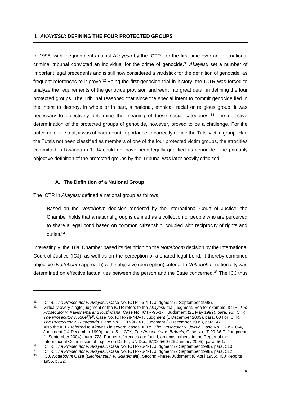#### **II.** *AKAYESU***: DEFINING THE FOUR PROTECTED GROUPS**

In 1998, with the judgment against *Akayesu* by the ICTR, for the first time ever an international criminal tribunal convicted an individual for the crime of genocide.<sup>31</sup> *Akayesu* set a number of important legal precedents and is still now considered a yardstick for the definition of genocide, as frequent references to it prove.<sup>32</sup> Being the first genocide trial in history, the ICTR was forced to analyze the requirements of the genocide provision and went into great detail in defining the four protected groups. The Tribunal reasoned that since the special intent to commit genocide lied in the intent to destroy, in whole or in part, a national, ethnical, racial or religious group, it was necessary to objectively determine the meaning of these social categories.<sup>33</sup> The objective determination of the protected groups of genocide, however, proved to be a challenge. For the outcome of the trial, it was of paramount importance to correctly define the Tutsi victim group. Had the Tutsis not been classified as members of one of the four protected victim groups, the atrocities committed in Rwanda in 1994 could not have been legally qualified as genocide. The primarily objective definition of the protected groups by the Tribunal was later heavily criticized.

## **A. The Definition of a National Group**

The ICTR in *Akayesu* defined a national group as follows:

-

Based on the *Nottebohm* decision rendered by the International Court of Justice, the Chamber holds that a national group is defined as a collection of people who are perceived to share a legal bond based on common citizenship, coupled with reciprocity of rights and duties.<sup>34</sup>

Interestingly, the Trial Chamber based its definition on the *Nottebohm* decision by the International Court of Justice (ICJ), as well as on the perception of a shared legal bond. It thereby combined objective (*Nottebohm* approach) with subjective (perception) criteria. In *Nottebohm*, nationality was determined on effective factual ties between the person and the State concerned.<sup>35</sup> The ICJ thus

<sup>31</sup> ICTR, *The Prosecutor v. Akayesu*, Case No. ICTR-96-4-T, Judgment (2 September 1998).

<sup>32</sup> Virtually every single judgment of the ICTR refers to the *Akayesu* trial judgment. See for example: ICTR, *The Prosecutor v. Kayishema and Ruzindana*, Case No. ICTR-95-1-T, Judgment (21 May 1999), para. 95; ICTR, *The Prosecutor v. Kajelijeli*, Case No. ICTR-98-44A-T, Judgment (1 December 2003), para. 804 or ICTR, *The Prosecutor v. Rutaganda*, Case No. ICTR-96-3-T, Judgment (6 December 1999), para. 47. Also the ICTY referred to *Akayesu* in several cases: ICTY, *The Prosecutor v. Jelisić*, Case No. IT-95-10-A, Judgment (14 December 1999), para. 51; ICTY, *The Prosecutor v. Brđanin*, Case No. IT-99-36-T, Judgment (1 September 2004), para. 728. Further references are found, amongst others, in the Report of the International Commission of Inquiry on Darfur, UN Doc. S/2005/60 (25 January 2005), para. 501.

<sup>33</sup> ICTR, *The Prosecutor v. Akayesu*, Case No. ICTR-96-4-T, Judgment (2 September 1998), para. 510.

<sup>34</sup> ICTR, *The Prosecutor v. Akayesu*, Case No. ICTR-96-4-T. Judgment (2 September 1998), para. 512.

<sup>35</sup> ICJ, *Nottebohm* Case (*Liechtenstein v. Guatemala*), Second Phase, Judgment (6 April 1955), ICJ Reports 1955, p. 22.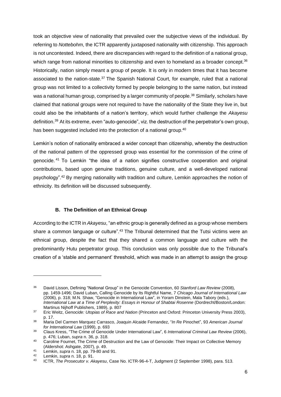took an objective view of nationality that prevailed over the subjective views of the individual. By referring to *Nottebohm*, the ICTR apparently juxtaposed nationality with citizenship. This approach is not uncontested. Indeed, there are discrepancies with regard to the definition of a national group, which range from national minorities to citizenship and even to homeland as a broader concept.<sup>36</sup> Historically, nation simply meant a group of people. It is only in modern times that it has become associated to the nation-state.<sup>37</sup> The Spanish National Court, for example, ruled that a national group was not limited to a collectivity formed by people belonging to the same nation, but instead was a national human group, comprised by a larger community of people.<sup>38</sup> Similarly, scholars have claimed that national groups were not required to have the nationality of the State they live in, but could also be the inhabitants of a nation's territory, which would further challenge the *Akayesu* definition.<sup>39</sup> At its extreme, even "auto-genocide", viz. the destruction of the perpetrator's own group, has been suggested included into the protection of a national group.<sup>40</sup>

Lemkin's notion of nationality embraced a wider concept than citizenship, whereby the destruction of the national pattern of the oppressed group was essential for the commission of the crime of genocide. <sup>41</sup> To Lemkin "the idea of a nation signifies constructive cooperation and original contributions, based upon genuine traditions, genuine culture, and a well-developed national psychology".<sup>42</sup> By merging nationality with tradition and culture, Lemkin approaches the notion of ethnicity. Its definition will be discussed subsequently.

## **B. The Definition of an Ethnical Group**

According to the ICTR in *Akayesu*, "an ethnic group is generally defined as a group whose members share a common language or culture".<sup>43</sup> The Tribunal determined that the Tutsi victims were an ethnical group, despite the fact that they shared a common language and culture with the predominantly Hutu perpetrator group. This conclusion was only possible due to the Tribunal's creation of a 'stable and permanent' threshold, which was made in an attempt to assign the group

-

<sup>36</sup> David Lisson, Defining "National Group" in the Genocide Convention, 60 *Stanford Law Review* (2008), pp. 1459-1496; David Luban, Calling Genocide by Its Rightful Name, 7 *Chicago Journal of International Law* (2006), p. 318; M.N. Shaw, "Genocide in International Law", in Yoram Dinstein, Mala Tabory (eds.), *International Law at a Time of Perplexity: Essays in Honour of Shabtai Rosenne* (Dordrecht/Boston/London: Martinus Nijhoff Publishers, 1989), p. 807

<sup>37</sup> Eric Weitz, *Genocide: Utopias of Race and Nation* (Princeton and Oxford: Princeton University Press 2003), p. 17.

<sup>38</sup> Maria Del Carmen Marquez Carrasco, Joaquin Alcaide Fernandez, "*In Re* Pinochet", 93 *American Journal for International Law* (1999), p. 693

<sup>39</sup> Claus Kress, "The Crime of Genocide Under International Law", 6 *International Criminal Law Review* (2006), p. 476; Luban, *supra* n. 36, p. 318.

<sup>40</sup> Caroline Fournet, The Crime of Destruction and the Law of Genocide: Their Impact on Collective Memory (Aldershot: Ashgate, 2007), p. 49.

<sup>41</sup> Lemkin, *supra* n. 18, pp. 79-80 and 91.

<sup>42</sup> Lemkin, *supra* n. 18, p. 91.

<sup>43</sup> ICTR, *The Prosecutor v. Akayesu*, Case No. ICTR-96-4-T, Judgment (2 September 1998), para. 513.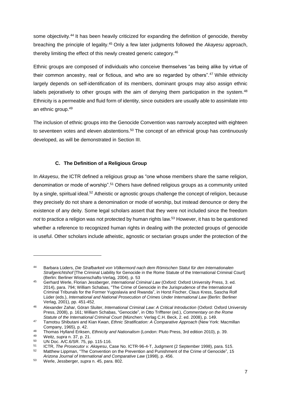some objectivity.<sup>44</sup> It has been heavily criticized for expanding the definition of genocide, thereby breaching the principle of legality. <sup>45</sup> Only a few later judgments followed the *Akayesu* approach, thereby limiting the effect of this newly created generic category.<sup>46</sup>

Ethnic groups are composed of individuals who conceive themselves "as being alike by virtue of their common ancestry, real or fictious, and who are so regarded by others".<sup>47</sup> While ethnicity largely depends on self-identification of its members, dominant groups may also assign ethnic labels pejoratively to other groups with the aim of denying them participation in the system.<sup>48</sup> Ethnicity is a permeable and fluid form of identity, since outsiders are usually able to assimilate into an ethnic group.<sup>49</sup>

The inclusion of ethnic groups into the Genocide Convention was narrowly accepted with eighteen to seventeen votes and eleven abstentions.<sup>50</sup> The concept of an ethnical group has continuously developed, as will be demonstrated in Section III.

## **C. The Definition of a Religious Group**

In *Akayesu*, the ICTR defined a religious group as "one whose members share the same religion, denomination or mode of worship".<sup>51</sup> Others have defined religious groups as a community united by a single, spiritual ideal.<sup>52</sup> Atheistic or agnostic groups challenge the concept of religion, because they precisely do not share a denomination or mode of worship, but instead denounce or deny the existence of any deity. Some legal scholars assert that they were not included since the freedom *not* to practice a religion was not protected by human rights law. <sup>53</sup> However, it has to be questioned whether a reference to recognized human rights in dealing with the protected groups of genocide is useful. Other scholars include atheistic, agnostic or sectarian groups under the protection of the

-

<sup>44</sup> Barbara Lüders, *Die Strafbarkeit von Völkermord nach dem Römischen Statut für den Internationalen Strafgerichtshof* [The Criminal Liability for Genocide in the Rome Statute of the International Criminal Court] (Berlin: Berliner Wissenschafts-Verlag, 2004), p. 53

<sup>45</sup> Gerhard Werle, Florian Jessberger, *International Criminal Law* (Oxford: Oxford University Press, 3. ed. 2014), para. 794; William Schabas, "The Crime of Genocide in the Jurisprudence of the International Criminal Tribunals for the Former Yugoslavia and Rwanda", in Horst Fischer, Claus Kress, Sascha Rolf Lüder (eds.), *International and National Prosecution of Crimes Under International Law* (Berlin: Berliner Verlag, 2001), pp. 451-452.

<sup>46</sup> Alexander Zahar, Göran Sluiter, *International Criminal Law: A Critical Introduction* (Oxford: Oxford University Press, 2008), p. 161; William Schabas, "Genocide", in Otto Triffterer (ed.), *Commentary on the Rome Statute of the International Criminal Court* (München: Verlag C.H. Beck, 2. ed. 2008), p. 149.

<sup>47</sup> Tamotsu Shibutani and Kian Kwan, *Ethnic Stratification: A Comparative Approach* (New York: Macmillan Company, 1965), p. 42.

<sup>48</sup> Thomas Hylland Eriksen, *Ethnicity and Nationalism* (London: Pluto Press, 3rd edition 2010), p. 39.

<sup>49</sup> Weitz, *supra* n. 37, p. 21.

<sup>50</sup> UN Doc. A/C.6/SR. 75, pp. 115-116.

<sup>51</sup> ICTR, *The Prosecutor v. Akayesu*, Case No. ICTR-96-4-T, Judgment (2 September 1998), para. 515. Matthew Lippman, "The Convention on the Prevention and Punishment of the Crime of Genocide", 15 *Arizona Journal of International and Comparative Law* (1998), p. 456.

<sup>53</sup> Werle, Jessberger, *supra* n. 45, para. 802.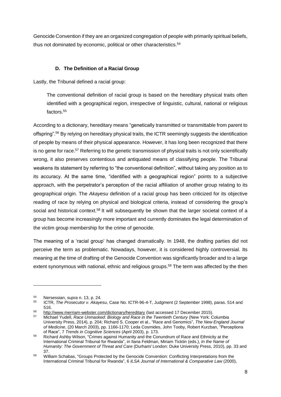Genocide Convention if they are an organized congregation of people with primarily spiritual beliefs, thus not dominated by economic, political or other characteristics.<sup>54</sup>

## **D. The Definition of a Racial Group**

Lastly, the Tribunal defined a racial group:

The conventional definition of racial group is based on the hereditary physical traits often identified with a geographical region, irrespective of linguistic, cultural, national or religious factors.<sup>55</sup>

According to a dictionary, hereditary means "genetically transmitted or transmittable from parent to offspring".<sup>56</sup> By relying on hereditary physical traits, the ICTR seemingly suggests the identification of people by means of their physical appearance. However, it has long been recognized that there is no gene for race.<sup>57</sup> Referring to the genetic transmission of physical traits is not only scientifically wrong, it also preserves contentious and antiquated means of classifying people. The Tribunal weakens its statement by referring to "the conventional definition", without taking any position as to its accuracy. At the same time, "identified with a geographical region" points to a subjective approach, with the perpetrator's perception of the racial affiliation of another group relating to its geographical origin. The *Akayesu* definition of a racial group has been criticized for its objective reading of race by relying on physical and biological criteria, instead of considering the group's social and historical context.<sup>58</sup> It will subsequently be shown that the larger societal context of a group has become increasingly more important and currently dominates the legal determination of the victim group membership for the crime of genocide.

The meaning of a 'racial group' has changed dramatically. In 1948, the drafting parties did not perceive the term as problematic. Nowadays, however, it is considered highly controversial. Its meaning at the time of drafting of the Genocide Convention was significantly broader and to a large extent synonymous with national, ethnic and religious groups.<sup>59</sup> The term was affected by the then

<sup>54</sup> Nersessian, *supra* n. 13, p. 24.

<sup>55</sup> ICTR, *The Prosecutor v. Akayesu*, Case No. ICTR-96-4-T, Judgment (2 September 1998), paras. 514 and 516.

<sup>56</sup> <http://www.merriam-webster.com/dictionary/hereditary> (last accessed 17 December 2015).

<sup>57</sup> Michael Yudell, *Race Unmasked: Biology and Race in the Twentieth Century* (New York: Columbia University Press, 2014), p. 204; Richard S. Cooper et al., "Race and Genomics", *The New England Journal of Medicine*, (20 March 2003), pp. 1166-1170; Leda Cosmides, John Tooby, Robert Kurzban, "Perceptions of Race", 7 *Trends in Cognitive Sciences* (April 2003), p. 173.

<sup>58</sup> Richard Ashby Wilson, "Crimes against Humanity and the Conundrum of Race and Ethnicity at the International Criminal Tribunal for Rwanda", in Ilana Feldman, Miriam Ticktin (eds.), *In the Name of Humanity: The Government of Threat and Care* (Durham/ London: Duke University Press, 2010), pp. 33 and 37.

<sup>&</sup>lt;sup>59</sup> William Schabas, "Groups Protected by the Genocide Convention: Conflicting Interpretations from the International Criminal Tribunal for Rwanda", 6 *ILSA Journal of International & Comparative Law* (2000),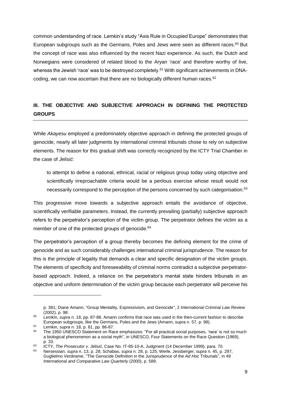common understanding of race. Lemkin's study "Axis Rule in Occupied Europe" demonstrates that European subgroups such as the Germans, Poles and Jews were seen as different races.<sup>60</sup> But the concept of race was also influenced by the recent Nazi experience. As such, the Dutch and Norwegians were considered of related blood to the Aryan 'race' and therefore worthy of live, whereas the Jewish 'race' was to be destroyed completely.<sup>61</sup> With significant achievements in DNAcoding, we can now ascertain that there are no biologically different human races. $62$ 

## **III. THE OBJECTIVE AND SUBJECTIVE APPROACH IN DEFINING THE PROTECTED GROUPS**

While *Akayesu* employed a predominately objective approach in defining the protected groups of genocide, nearly all later judgments by international criminal tribunals chose to rely on subjective elements. The reason for this gradual shift was correctly recognized by the ICTY Trial Chamber in the case of *Jelisić*:

to attempt to define a national, ethnical, racial or religious group today using objective and scientifically irreproachable criteria would be a perilous exercise whose result would not necessarily correspond to the perception of the persons concerned by such categorisation.<sup>63</sup>

This progressive move towards a subjective approach entails the avoidance of objective, scientifically verifiable parameters. Instead, the currently prevailing (partially) subjective approach refers to the perpetrator's perception of the victim group. The perpetrator defines the victim as a member of one of the protected groups of genocide.<sup>64</sup>

The perpetrator's perception of a group thereby becomes the defining element for the crime of genocide and as such considerably challenges international criminal jurisprudence. The reason for this is the principle of legality that demands a clear and specific designation of the victim groups. The elements of specificity and foreseeability of criminal norms contradict a subjective perpetratorbased approach. Indeed, a reliance on the perpetrator's mental state hinders tribunals in an objective and uniform determination of the victim group because each perpetrator will perceive his

p. 381; Diane Amann, "Group Mentality, Expressivism, and Genocide", 2 *International Criminal Law Review* (2002), p. 98.

<sup>60</sup> Lemkin, *supra* n. 18, pp. 87-88. Amann confirms that race was used in the then-current fashion to describe European subgroups, like the Germans, Poles and the Jews (Amann, supra n. 57, p. 98).

<sup>61</sup> Lemkin, *supra* n. 18, p. 81, pp. 86-87.

The 1950 UNESCO Statement on Race emphasizes: "For all practical social purposes, 'race' is not so much a biological phenomenon as a social myth", in UNESCO, Four Statements on the Race Question (1969), p. 33.

<sup>63</sup> ICTY, *The Prosecutor v. Jelisić*, Case No. IT-95-10-A, Judgment (14 December 1999), para. 70.

<sup>64</sup> Nersessian, *supra* n. 13, p. 28; Schabas, *supra* n. 28, p. 125; Werle, Jessberger, *supra* n. 45, p. 297; Guglielmo Verdirame, "The Genocide Definition in the Jurisprudence of the *Ad Hoc* Tribunals", in 49 *International and Comparative Law Quarterly* (2000), p. 589.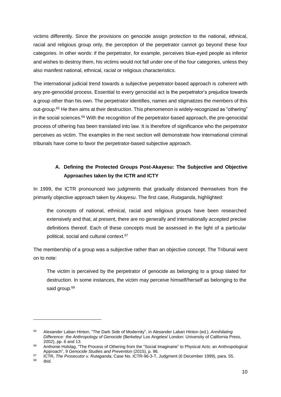victims differently. Since the provisions on genocide assign protection to the national, ethnical, racial and religious group only, the perception of the perpetrator cannot go beyond these four categories. In other words: if the perpetrator, for example, perceives blue-eyed people as inferior and wishes to destroy them, his victims would not fall under one of the four categories, unless they also manifest national, ethnical, racial or religious characteristics.

The international judicial trend towards a subjective perpetrator-based approach is coherent with any pre-genocidal process. Essential to every genocidal act is the perpetrator's prejudice towards a group other than his own. The perpetrator identifies, names and stigmatizes the members of this out-group.<sup>65</sup> He then aims at their destruction. This phenomenon is widely-recognized as "othering" in the social sciences. $66$  With the recognition of the perpetrator-based approach, the pre-genocidal process of othering has been translated into law. It is therefore of significance who the perpetrator perceives as victim. The examples in the next section will demonstrate how international criminal tribunals have come to favor the perpetrator-based subjective approach.

# **A. Defining the Protected Groups Post-Akayesu: The Subjective and Objective Approaches taken by the ICTR and ICTY**

In 1999, the ICTR pronounced two judgments that gradually distanced themselves from the primarily objective approach taken by *Akayesu*. The first case, *Rutaganda*, highlighted:

the concepts of national, ethnical, racial and religious groups have been researched extensively and that, at present, there are no generally and internationally accepted precise definitions thereof. Each of these concepts must be assessed in the light of a particular political, social and cultural context.<sup>67</sup>

The membership of a group was a subjective rather than an objective concept. The Tribunal went on to note:

The victim is perceived by the perpetrator of genocide as belonging to a group slated for destruction. In some instances, the victim may perceive himself/herself as belonging to the said group*.* 68

<sup>65</sup> Alexander Laban Hinton, "The Dark Side of Modernity", in Alexander Laban Hinton (ed.), *Annihilating Difference: the Anthropology of Genocide* (Berkeley/ Los Angeles/ London: University of California Press, 2002), pp. 6 and 13.

<sup>66</sup> Anthonie Holslag, "The Process of Othering from the "Social Imaginaire" to Physical Acts: an Anthropological Approach", 9 *Genocide Studies and Prevention* (2015), p. 96.

<sup>67</sup> ICTR, *The Prosecutor v. Rutaganda*, Case No. ICTR-96-3-T, Judgment (6 December 1999), para. 55.

*lbid.*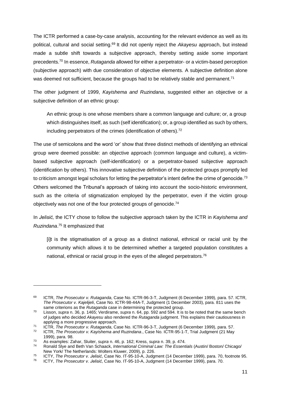The ICTR performed a case-by-case analysis, accounting for the relevant evidence as well as its political, cultural and social setting.<sup>69</sup> It did not openly reject the *Akayesu* approach, but instead made a subtle shift towards a subjective approach, thereby setting aside some important precedents.<sup>70</sup> In essence, *Rutaganda* allowed for either a perpetrator- or a victim-based perception (subjective approach) with due consideration of objective elements. A subjective definition alone was deemed not sufficient, because the groups had to be relatively stable and permanent.<sup>71</sup>

The other judgment of 1999, *Kayishema and Ruzindana*, suggested either an objective or a subjective definition of an ethnic group:

An ethnic group is one whose members share a common language and culture; or, a group which distinguishes itself, as such (self identification); or, a group identified as such by others, including perpetrators of the crimes (identification of others).<sup>72</sup>

The use of semicolons and the word 'or' show that three distinct methods of identifying an ethnical group were deemed possible: an objective approach (common language and culture), a victimbased subjective approach (self-identification) or a perpetrator-based subjective approach (identification by others). This innovative subjective definition of the protected groups promptly led to criticism amongst legal scholars for letting the perpetrator's intent define the crime of genocide.<sup>73</sup> Others welcomed the Tribunal's approach of taking into account the socio-historic environment, such as the criteria of stigmatization employed by the perpetrator, even if the victim group objectively was not one of the four protected groups of genocide.<sup>74</sup>

In *Jelisić,* the ICTY chose to follow the subjective approach taken by the ICTR in *Kayishema and Ruzindana*. <sup>75</sup> It emphasized that

[i]t is the stigmatisation of a group as a distinct national, ethnical or racial unit by the community which allows it to be determined whether a targeted population constitutes a national, ethnical or racial group in the eyes of the alleged perpetrators.<sup>76</sup>

<sup>69</sup> ICTR, *The Prosecutor v. Rutaganda*, Case No. ICTR-96-3-T, Judgment (6 December 1999), para. 57. ICTR, *The Prosecutor v. Kajelijeli*, Case No. ICTR-98-44A-T, Judgment (1 December 2003), para. 811 uses the same criterions as the *Rutaganda* case in determining the protected group.

<sup>70</sup> Lisson, *supra* n. 36, p. 1465; Verdirame, *supra* n. 64, pp. 592 and 594. It is to be noted that the same bench of judges who decided *Akayesu* also rendered the *Rutaganda* judgment. This explains their cautiousness in applying a more progressive approach.

<sup>71</sup> ICTR, *The Prosecutor v. Rutaganda*, Case No. ICTR-96-3-T, Judgment (6 December 1999), para. 57.

<sup>72</sup> ICTR, *The Prosecutor v. Kayishema and Ruzindana*., Case No. ICTR-95-1-T, Trial Judgment (21 May 1999), para. 98.

<sup>73</sup> As examples: Zahar, Sluiter, *supra* n. 46, p. 162; Kress, *supra* n. 39, p. 474.

<sup>74</sup> Ronald Slye and Beth Van Schaack, *International Criminal Law: The Essentials* (Austin/ Boston/ Chicago/ New York/ The Netherlands: Wolters Kluwer, 2009), p. 226.

<sup>75</sup> ICTY, *The Prosecutor v. Jelisić*, Case No. IT-95-10-A, Judgment (14 December 1999), para. 70, footnote 95.

<sup>76</sup> ICTY, *The Prosecutor v. Jelisić*, Case No. IT-95-10-A, Judgment (14 December 1999), para. 70.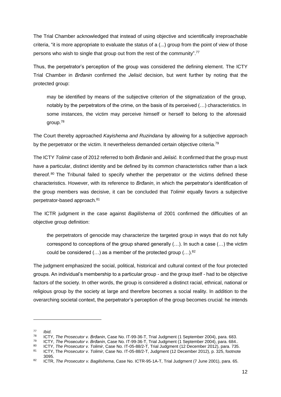The Trial Chamber acknowledged that instead of using objective and scientifically irreproachable criteria, "it is more appropriate to evaluate the status of a (...) group from the point of view of those persons who wish to single that group out from the rest of the community".<sup>77</sup>

Thus, the perpetrator's perception of the group was considered the defining element. The ICTY Trial Chamber in *Brđanin* confirmed the *Jelisić* decision, but went further by noting that the protected group:

may be identified by means of the subjective criterion of the stigmatization of the group, notably by the perpetrators of the crime, on the basis of its perceived (…) characteristics. In some instances, the victim may perceive himself or herself to belong to the aforesaid group.<sup>78</sup>

The Court thereby approached *Kayishema and Ruzindana* by allowing for a subjective approach by the perpetrator or the victim. It nevertheless demanded certain objective criteria.<sup>79</sup>

The ICTY *Tolimir* case of 2012 referred to both *Brđanin* and *Jelisić.* It confirmed that the group must have a particular, distinct identity and be defined by its common characteristics rather than a lack thereof.<sup>80</sup> The Tribunal failed to specify whether the perpetrator or the victims defined these characteristics. However, with its reference to *Brđanin*, in which the perpetrator's identification of the group members was decisive, it can be concluded that *Tolimir* equally favors a subjective perpetrator-based approach.<sup>81</sup>

The ICTR judgment in the case against *Bagilishema* of 2001 confirmed the difficulties of an objective group definition:

the perpetrators of genocide may characterize the targeted group in ways that do not fully correspond to conceptions of the group shared generally (…). In such a case (…) the victim could be considered  $(...)$  as a member of the protected group  $(...).$ <sup>82</sup>

The judgment emphasized the social, political, historical and cultural context of the four protected groups. An individual's membership to a particular group - and the group itself - had to be objective factors of the society. In other words, the group is considered a distinct racial, ethnical, national or religious group by the society at large and therefore becomes a social reality. In addition to the overarching societal context, the perpetrator's perception of the group becomes crucial: he intends

<sup>77</sup> *Ibid*.

<sup>78</sup> ICTY, *The Prosecutor v. Brđanin*, Case No. IT-99-36-T, Trial Judgment (1 September 2004), para. 683.

<sup>79</sup> ICTY, *The Prosecutor v. Brđanin*, Case No. IT-99-36-T, Trial Judgment (1 September 2004), para. 684..

<sup>80</sup> ICTY, *The Prosecutor v. Tolimir*, Case No. IT-05-88/2-T, Trial Judgment (12 December 2012), para. 735.

<sup>81</sup> ICTY, The *Prosecutor v. Tolimir*, Case No. IT-05-88/2-T, Judgment (12 December 2012), p. 325, footnote 3095.

<sup>82</sup> ICTR, *The Prosecutor v. Bagilishema*, Case No. ICTR-95-1A-T, Trial Judgment (7 June 2001), para. 65.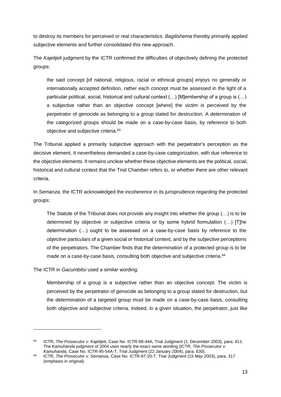to destroy its members for perceived or real characteristics. *Bagilishema* thereby primarily applied subjective elements and further consolidated this new approach.

The *Kajelijeli* judgment by the ICTR confirmed the difficulties of objectively defining the protected groups:

the said concept [of national, religious, racial or ethnical groups] enjoys no generally or internationally accepted definition, rather each concept must be assessed in the light of a particular political, social, historical and cultural context (…) [M]embership of a group is (…) a subjective rather than an objective concept [where] the victim is perceived by the perpetrator of genocide as belonging to a group slated for destruction. A determination of the categorized groups should be made on a case-by-case basis, by reference to both objective and subjective criteria.<sup>83</sup>

The Tribunal applied a primarily subjective approach with the perpetrator's perception as the decisive element. It nevertheless demanded a case-by-case categorization, with due reference to the objective elements. It remains unclear whether these objective elements are the political, social, historical and cultural context that the Trial Chamber refers to, or whether there are other relevant criteria.

In *Semanza*, the ICTR acknowledged the incoherence in its jurisprudence regarding the protected groups:

The Statute of the Tribunal does not provide any insight into whether the group (…) is to be determined by objective or subjective criteria or by some hybrid formulation (…) [T]he determination (…) ought to be assessed on a case-by-case basis by reference to the *objective* particulars of a given social or historical context, and by the *subjective* perceptions of the perpetrators. The Chamber finds that the determination of a protected group is to be made on a case-by-case basis, consulting both objective and subjective criteria.<sup>84</sup>

The ICTR in *Gacumbitsi* used a similar wording:

1

Membership of a group is a subjective rather than an objective concept. The victim is perceived by the perpetrator of genocide as belonging to a group slated for destruction, but the determination of a targeted group must be made on a case-by-case basis, consulting both objective and subjective criteria. Indeed, in a given situation, the perpetrator, just like

<sup>83</sup> ICTR, *The Prosecutor v. Kajelijeli*, Case No. ICTR-98-44A, Trial Judgment (1. December 2003), para. 811. The *Kamuhanda* judgment of 2004 uses nearly the exact same wording (ICTR, *The Prosecutor v. Kamuhanda*, Case No. ICTR-95-54A-T, Trial Judgment (22 January 2004), para. 630).

<sup>84</sup> ICTR, *The Prosecutor v. Semanza*, Case No. ICTR-97-20-T, Trial Judgment (15 May 2003), para. 317 (emphasis in original).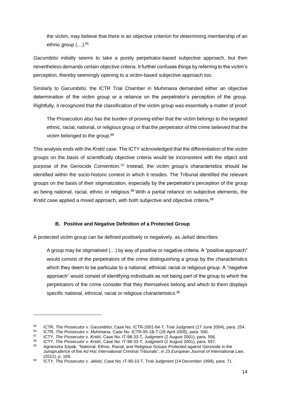the victim, may believe that there is an objective criterion for determining membership of an ethnic group (…). 85

*Gacumbitsi* initially seems to take a purely perpetrator-based subjective approach, but then nevertheless demands certain objective criteria. It further confuses things by referring to the victim's perception, thereby seemingly opening to a victim-based subjective approach too.

Similarly to *Gacumbitsi*, the ICTR Trial Chamber in *Muhimana* demanded either an objective determination of the victim group or a reliance on the perpetrator's perception of the group. Rightfully, it recognized that the classification of the victim group was essentially a matter of proof:

The Prosecution also has the burden of proving either that the victim belongs to the targeted ethnic, racial, national, or religious group or that the perpetrator of the crime believed that the victim belonged to the group.<sup>86</sup>

This analysis ends with the *Krstić* case. The ICTY acknowledged that the differentiation of the victim groups on the basis of scientifically objective criteria would be inconsistent with the object and purpose of the Genocide Convention.<sup>87</sup> Instead, the victim group's characteristics should be identified within the socio-historic context in which it resides. The Tribunal identified the relevant groups on the basis of their stigmatization, especially by the perpetrator's perception of the group as being national, racial, ethnic or religious.<sup>88</sup> With a partial reliance on subjective elements, the *Krstić* case applied a mixed approach, with both subjective and objective criteria.<sup>89</sup>

## **B. Positive and Negative Definition of a Protected Group**

A protected victim group can be defined positively or negatively, as *Jelisić* describes:

A group may be stigmatised (…) by way of positive or negative criteria. A "positive approach" would consist of the perpetrators of the crime distinguishing a group by the characteristics which they deem to be particular to a national, ethnical, racial or religious group. A "negative approach" would consist of identifying individuals as not being part of the group to which the perpetrators of the crime consider that they themselves belong and which to them displays specific national, ethnical, racial or religious characteristics.<sup>90</sup>

<sup>85</sup> ICTR, *The Prosecutor v. Gacumbitsi*, Case No. ICTR-2001-64-T, Trial Judgment (17 June 2004), para. 254.

<sup>86</sup> ICTR, *The Prosecutor v. Muhimana*, Case No. ICTR-95-1B-T (28 April 2005), para. 500.

<sup>87</sup> ICTY, *The Prosecutor v. Krstić*, Case No. IT-98-33-T, Judgment (2 August 2001), para. 556.

<sup>88</sup> ICTY, *The Prosecutor v. Krstić*, Case No. IT-98-33-T, Judgment (2 August 2001), para. 557.

<sup>89</sup> Agnieszka Szpak, "National, Ethnic, Racial, and Religious Groups Protected against Genocide in the Jurisprudence of the *Ad Hoc* International Criminal Tribunals", in 23 *European Journal of International Law*, (2012), p. 169.

<sup>90</sup> ICTY, *The Prosecutor v. Jelisić*, Case No. IT-95-10-T, Trial Judgment (14 December 1999), para. 71.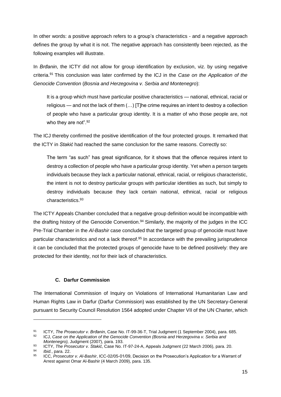In other words: a positive approach refers to a group's characteristics - and a negative approach defines the group by what it is not. The negative approach has consistently been rejected, as the following examples will illustrate.

In *Brđanin*, the ICTY did not allow for group identification by exclusion, viz. by using negative criteria.<sup>91</sup> This conclusion was later confirmed by the ICJ in the *Case on the Application of the Genocide Convention* (*Bosnia and Herzegovina v. Serbia and Montenegro*):

It is a group which must have particular positive characteristics — national, ethnical, racial or religious — and not the lack of them (…) [T]he crime requires an intent to destroy a collection of people who have a particular group identity. It is a matter of who those people are, not who they are not".<sup>92</sup>

The ICJ thereby confirmed the positive identification of the four protected groups. It remarked that the ICTY in *Stakić* had reached the same conclusion for the same reasons. Correctly so:

The term "as such" has great significance, for it shows that the offence requires intent to destroy a collection of people who have a particular group identity. Yet when a person targets individuals because they lack a particular national, ethnical, racial, or religious characteristic, the intent is not to destroy particular groups with particular identities as such, but simply to destroy individuals because they lack certain national, ethnical, racial or religious characteristics.<sup>93</sup>

The ICTY Appeals Chamber concluded that a negative group definition would be incompatible with the drafting history of the Genocide Convention.<sup>94</sup> Similarly, the majority of the judges in the ICC Pre-Trial Chamber in the *Al-Bashir* case concluded that the targeted group of genocide must have particular characteristics and not a lack thereof.<sup>95</sup> In accordance with the prevailing jurisprudence it can be concluded that the protected groups of genocide have to be defined positively: they are protected for their identity, not for their lack of characteristics.

## **C. Darfur Commission**

1

The International Commission of Inquiry on Violations of International Humanitarian Law and Human Rights Law in Darfur (Darfur Commission) was established by the UN Secretary-General pursuant to Security Council Resolution 1564 adopted under Chapter VII of the UN Charter, which

<sup>92</sup> ICJ, *Case on the Application of the Genocide Convention (Bosnia and Herzegovina v. Serbia and Montenegro),* Judgment (2007), para. 193.

<sup>91</sup> ICTY, *The Prosecutor v. Brđanin*, Case No. IT-99-36-T, Trial Judgment (1 September 2004), para. 685.

<sup>93</sup> ICTY, *The Prosecutor v. Stakić*, Case No. IT-97-24-A, Appeals Judgment (22 March 2006), para. 20. <sup>94</sup> *Ibid.*, para. 22.

<sup>95</sup> ICC, *Prosecutor v. Al-Bashir*, ICC-02/05-01/09, Decision on the Prosecution's Application for a Warrant of Arrest against Omar Al-Bashir (4 March 2009), para. 135.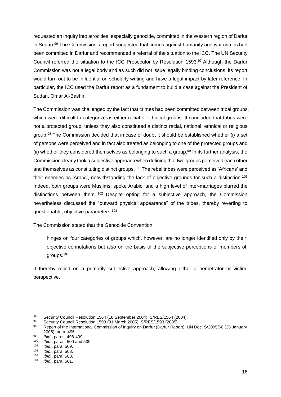requested an inquiry into atrocities, especially genocide, committed in the Western region of Darfur in Sudan.<sup>96</sup> The Commission's report suggested that crimes against humanity and war crimes had been committed in Darfur and recommended a referral of the situation to the ICC. The UN Security Council referred the situation to the ICC Prosecutor by Resolution 1593.<sup>97</sup> Although the Darfur Commission was not a legal body and as such did not issue legally binding conclusions, its report would turn out to be influential on scholarly writing and have a legal impact by later reference. In particular, the ICC used the Darfur report as a fundament to build a case against the President of Sudan, Omar Al-Bashir.

The Commission was challenged by the fact that crimes had been committed between tribal groups, which were difficult to categorize as either racial or ethnical groups. It concluded that tribes were not a protected group, unless they also constituted a distinct racial, national, ethnical or religious group.<sup>98</sup> The Commission decided that in case of doubt it should be established whether (i) a set of persons were perceived and in fact also treated as belonging to one of the protected groups and (ii) whether they considered themselves as belonging to such a group.<sup>99</sup> In its further analysis, the Commission clearly took a subjective approach when defining that two groups perceived each other and themselves as constituting distinct groups.<sup>100</sup> The rebel tribes were perceived as 'Africans' and their enemies as 'Arabs', notwithstanding the lack of objective grounds for such a distinction.<sup>101</sup> Indeed, both groups were Muslims, spoke Arabic, and a high level of inter-marriages blurred the distinctions between them.<sup>102</sup> Despite opting for a subjective approach, the Commission nevertheless discussed the "outward physical appearance" of the tribes, thereby reverting to questionable, objective parameters.<sup>103</sup>

The Commission stated that the Genocide Convention

hinges on four categories of groups which, however, are no longer identified only by their objective connotations but also on the basis of the subjective perceptions of members of groups.<sup>104</sup>

It thereby relied on a primarily subjective approach, allowing either a perpetrator or victim perspective.

<sup>96</sup> Security Council Resolution 1564 (18 September 2004), S/RES/1564 (2004).<br>97 Security Council Besolution 1593 (31 March 2005), S/BES/1593 (2005).

<sup>97</sup> Security Council Resolution 1593 (31 March 2005), S/RES/1593 (2005).

Report of the International Commission of Inquiry on Darfur (Darfur Report), UN Doc. S/2005/60 (25 January 2005), para. 496.

<sup>99</sup> *Ibid.*, paras. 498-499.

<sup>100</sup> *Ibid.*, paras. 500 and 509.

<sup>101</sup> *Ibid.*, para. 509.

<sup>102</sup> *Ibid.*, para. 508.

<sup>103</sup> *Ibid.*, para. 508.

*Ibid.*, para. 501.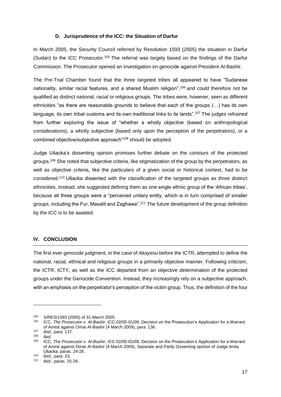#### **D. Jurisprudence of the ICC: the Situation of Darfur**

In March 2005, the Security Council referred by Resolution 1593 (2005) the situation in Darfur (Sudan) to the ICC Prosecutor.<sup>105</sup> The referral was largely based on the findings of the Darfur Commission. The Prosecutor opened an investigation on genocide against President Al-Bashir.

The Pre-Trial Chamber found that the three targeted tribes all appeared to have "Sudanese nationality, similar racial features, and a shared Muslim religion",<sup>106</sup> and could therefore not be qualified as distinct national, racial or religious groups. The tribes were, however, seen as different ethnicities "as there are reasonable grounds to believe that each of the groups (…) has its own language, its own tribal customs and its own traditional links to its lands".<sup>107</sup> The judges refrained from further exploring the issue of "whether a wholly objective (based on anthropological considerations), a wholly subjective (based only upon the perception of the perpetrators), or a combined objective/subjective approach"<sup>108</sup> should be adopted.

Judge Ušacka's dissenting opinion promises further debate on the contours of the protected groups.<sup>109</sup> She noted that subjective criteria, like stigmatization of the group by the perpetrators, as well as objective criteria, like the particulars of a given social or historical context, had to be considered.<sup>110</sup> Ušacka dissented with the classification of the targeted groups as three distinct ethnicities. Instead, she suggested defining them as one single ethnic group of the 'African tribes', because all three groups were a "perceived unitary entity, which is in turn comprised of smaller groups, including the Fur, Masalit and Zaghawa".<sup>111</sup> The future development of the group definition by the ICC is to be awaited.

## **IV. CONCLUSION**

The first ever genocide judgment, in the case of *Akayesu* before the ICTR, attempted to define the national, racial, ethnical and religious groups in a primarily objective manner. Following criticism, the ICTR, ICTY, as well as the ICC departed from an objective determination of the protected groups under the Genocide Convention. Instead, they increasingly rely on a subjective approach, with an emphasis on the perpetrator's perception of the victim group. Thus, the definition of the four

<sup>105</sup> S/RES/1593 (2005) of 31 March 2005.<br>106 ICC The Procesutor v. Al Bashir JCC.

<sup>106</sup> ICC, *The Prosecutor v. Al-Bashir*, ICC-02/05-01/09, Decision on the Prosecution's Application for a Warrant of Arrest against Omar Al-Bashir (4 March 2009), para. 136.

<sup>107</sup> *Ibid.,* para. 137.

<sup>108</sup> *Ibid.*

<sup>109</sup> ICC, *The Prosecutor v. Al-Bashir*, ICC-02/05-01/09, Decision on the Prosecution's Application for a Warrant of Arrest against Omar Al-Bashir (4 March 2009), Separate and Partly Dissenting opinion of Judge Anita Ušacka, paras. 24-26.

<sup>110</sup> *Ibid.,* para. 23.

*Ibid., paras.* 25-26.